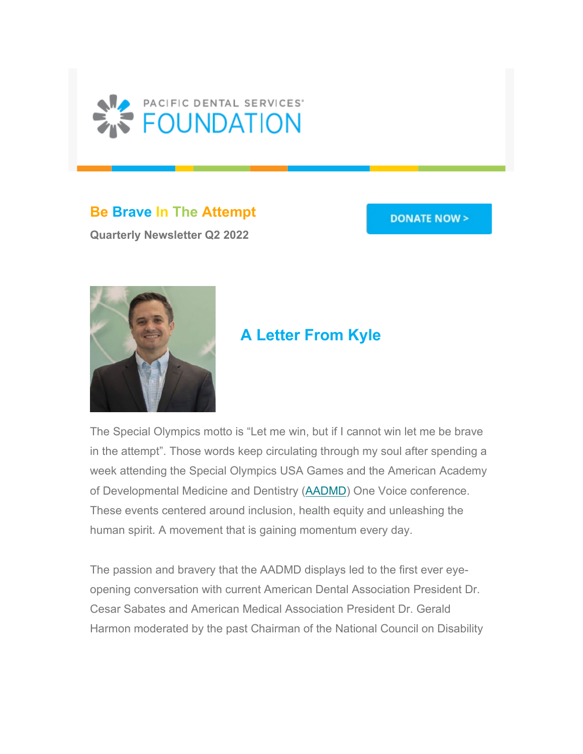

**Be Brave In The Attempt**

**Quarterly Newsletter Q2 2022**

#### **DONATE NOW >**



# **A Letter From Kyle**

The Special Olympics motto is "Let me win, but if I cannot win let me be brave in the attempt". Those words keep circulating through my soul after spending a week attending the Special Olympics USA Games and the American Academy of Developmental Medicine and Dentistry [\(AADMD\)](https://urldefense.com/v3/__https:/pdsfoundation.us17.list-manage.com/track/click?u=ca80fb721d10e8154bebe6a22&id=9749d75589&e=b69841dbbf__;!!Jj8M_0EPIPXN6A!FpuGVTmsls0xUjbOId3mHGBjy-eLGvgsAwzjKJ1CDNB2WmPUbmV4N-ZHlEzbOWNTT-McHu-Yfa7dlFd1ziNIRSKDmM7e$) One Voice conference. These events centered around inclusion, health equity and unleashing the human spirit. A movement that is gaining momentum every day.

The passion and bravery that the AADMD displays led to the first ever eyeopening conversation with current American Dental Association President Dr. Cesar Sabates and American Medical Association President Dr. Gerald Harmon moderated by the past Chairman of the National Council on Disability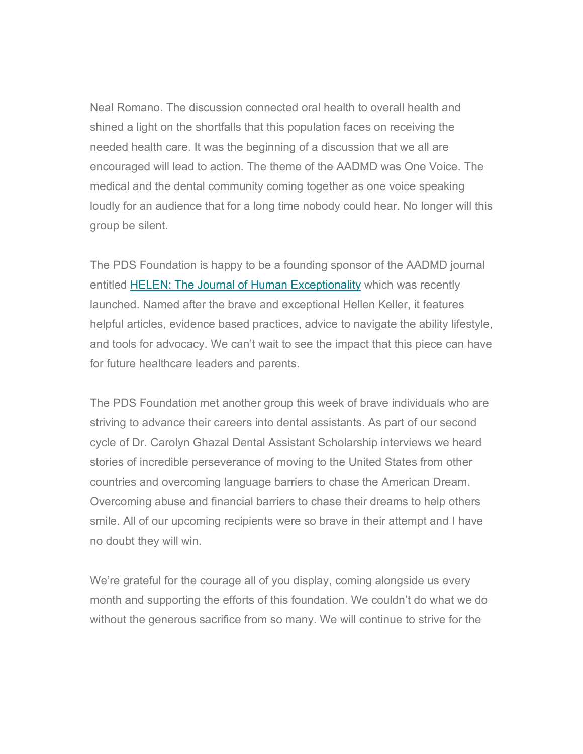Neal Romano. The discussion connected oral health to overall health and shined a light on the shortfalls that this population faces on receiving the needed health care. It was the beginning of a discussion that we all are encouraged will lead to action. The theme of the AADMD was One Voice. The medical and the dental community coming together as one voice speaking loudly for an audience that for a long time nobody could hear. No longer will this group be silent.

The PDS Foundation is happy to be a founding sponsor of the AADMD journal entitled [HELEN: The Journal of Human Exceptionality](https://urldefense.com/v3/__https:/pdsfoundation.us17.list-manage.com/track/click?u=ca80fb721d10e8154bebe6a22&id=06fe16f39d&e=b69841dbbf__;!!Jj8M_0EPIPXN6A!FpuGVTmsls0xUjbOId3mHGBjy-eLGvgsAwzjKJ1CDNB2WmPUbmV4N-ZHlEzbOWNTT-McHu-Yfa7dlFd1ziNIRVOJLldb$) which was recently launched. Named after the brave and exceptional Hellen Keller, it features helpful articles, evidence based practices, advice to navigate the ability lifestyle, and tools for advocacy. We can't wait to see the impact that this piece can have for future healthcare leaders and parents.

The PDS Foundation met another group this week of brave individuals who are striving to advance their careers into dental assistants. As part of our second cycle of Dr. Carolyn Ghazal Dental Assistant Scholarship interviews we heard stories of incredible perseverance of moving to the United States from other countries and overcoming language barriers to chase the American Dream. Overcoming abuse and financial barriers to chase their dreams to help others smile. All of our upcoming recipients were so brave in their attempt and I have no doubt they will win.

We're grateful for the courage all of you display, coming alongside us every month and supporting the efforts of this foundation. We couldn't do what we do without the generous sacrifice from so many. We will continue to strive for the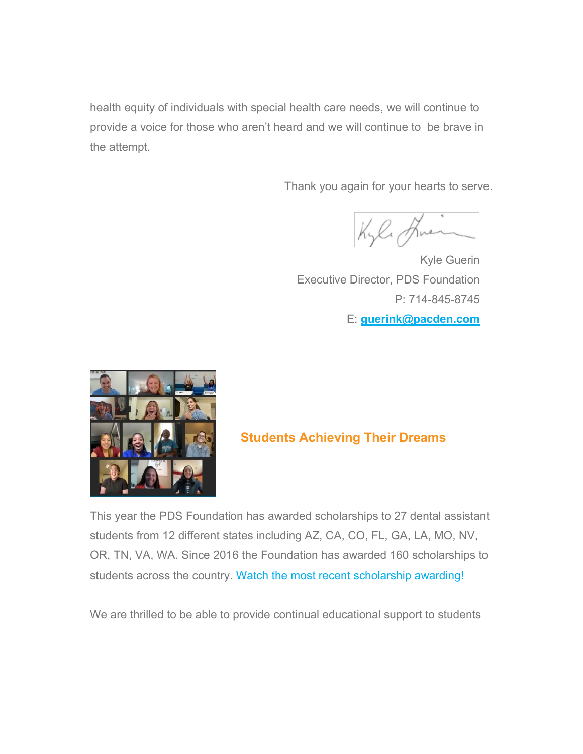health equity of individuals with special health care needs, we will continue to provide a voice for those who aren't heard and we will continue to be brave in the attempt.

Thank you again for your hearts to serve.

Kyle Huen

Kyle Guerin Executive Director, PDS Foundation P: 714-845-8745 E: **[guerink@pacden.com](mailto:guerink@pacden.com)**



### **Students Achieving Their Dreams**

This year the PDS Foundation has awarded scholarships to 27 dental assistant students from 12 different states including AZ, CA, CO, FL, GA, LA, MO, NV, OR, TN, VA, WA. Since 2016 the Foundation has awarded 160 scholarships to students across the country[.](https://urldefense.com/v3/__https:/pdsfoundation.us17.list-manage.com/track/click?u=ca80fb721d10e8154bebe6a22&id=620a50e1c3&e=b69841dbbf__;!!Jj8M_0EPIPXN6A!FpuGVTmsls0xUjbOId3mHGBjy-eLGvgsAwzjKJ1CDNB2WmPUbmV4N-ZHlEzbOWNTT-McHu-Yfa7dlFd1ziNIRWa2sOoU$) [Watch](https://urldefense.com/v3/__https:/pdsfoundation.us17.list-manage.com/track/click?u=ca80fb721d10e8154bebe6a22&id=443f657b39&e=b69841dbbf__;!!Jj8M_0EPIPXN6A!FpuGVTmsls0xUjbOId3mHGBjy-eLGvgsAwzjKJ1CDNB2WmPUbmV4N-ZHlEzbOWNTT-McHu-Yfa7dlFd1ziNIRaC3wycn$) [the most recent scholarship awarding!](https://urldefense.com/v3/__https:/pdsfoundation.us17.list-manage.com/track/click?u=ca80fb721d10e8154bebe6a22&id=4b60dc9865&e=b69841dbbf__;!!Jj8M_0EPIPXN6A!FpuGVTmsls0xUjbOId3mHGBjy-eLGvgsAwzjKJ1CDNB2WmPUbmV4N-ZHlEzbOWNTT-McHu-Yfa7dlFd1ziNIRfd1vkgG$)

We are thrilled to be able to provide continual educational support to students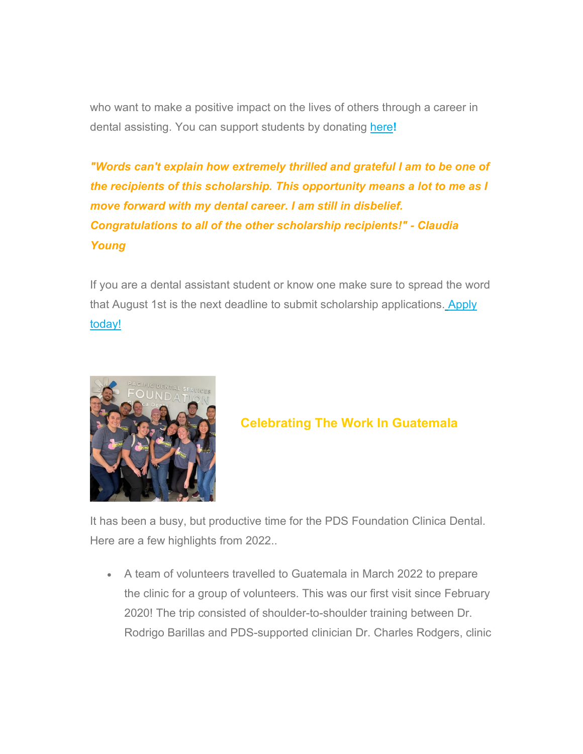who want to make a positive impact on the lives of others through a career in dental assisting. You can support students by donating [here](https://urldefense.com/v3/__https:/pdsfoundation.us17.list-manage.com/track/click?u=ca80fb721d10e8154bebe6a22&id=172609c187&e=b69841dbbf__;!!Jj8M_0EPIPXN6A!FpuGVTmsls0xUjbOId3mHGBjy-eLGvgsAwzjKJ1CDNB2WmPUbmV4N-ZHlEzbOWNTT-McHu-Yfa7dlFd1ziNIRTlO8E09$)**!**

*"Words can't explain how extremely thrilled and grateful I am to be one of the recipients of this scholarship. This opportunity means a lot to me as I move forward with my dental career. I am still in disbelief. Congratulations to all of the other scholarship recipients!" - Claudia Young*

If you are a dental assistant student or know one make sure to spread the word that August 1st is the next deadline to submit scholarship applications[.](https://urldefense.com/v3/__https:/pdsfoundation.us17.list-manage.com/track/click?u=ca80fb721d10e8154bebe6a22&id=56eaa84c21&e=b69841dbbf__;!!Jj8M_0EPIPXN6A!FpuGVTmsls0xUjbOId3mHGBjy-eLGvgsAwzjKJ1CDNB2WmPUbmV4N-ZHlEzbOWNTT-McHu-Yfa7dlFd1ziNIRanQ5Lar$) [Apply](https://urldefense.com/v3/__https:/pdsfoundation.us17.list-manage.com/track/click?u=ca80fb721d10e8154bebe6a22&id=e65a910d2c&e=b69841dbbf__;!!Jj8M_0EPIPXN6A!FpuGVTmsls0xUjbOId3mHGBjy-eLGvgsAwzjKJ1CDNB2WmPUbmV4N-ZHlEzbOWNTT-McHu-Yfa7dlFd1ziNIRakrlPID$)  [today!](https://urldefense.com/v3/__https:/pdsfoundation.us17.list-manage.com/track/click?u=ca80fb721d10e8154bebe6a22&id=e65a910d2c&e=b69841dbbf__;!!Jj8M_0EPIPXN6A!FpuGVTmsls0xUjbOId3mHGBjy-eLGvgsAwzjKJ1CDNB2WmPUbmV4N-ZHlEzbOWNTT-McHu-Yfa7dlFd1ziNIRakrlPID$) 



### **Celebrating The Work In Guatemala**

It has been a busy, but productive time for the PDS Foundation Clinica Dental. Here are a few highlights from 2022..

• A team of volunteers travelled to Guatemala in March 2022 to prepare the clinic for a group of volunteers. This was our first visit since February 2020! The trip consisted of shoulder-to-shoulder training between Dr. Rodrigo Barillas and PDS-supported clinician Dr. Charles Rodgers, clinic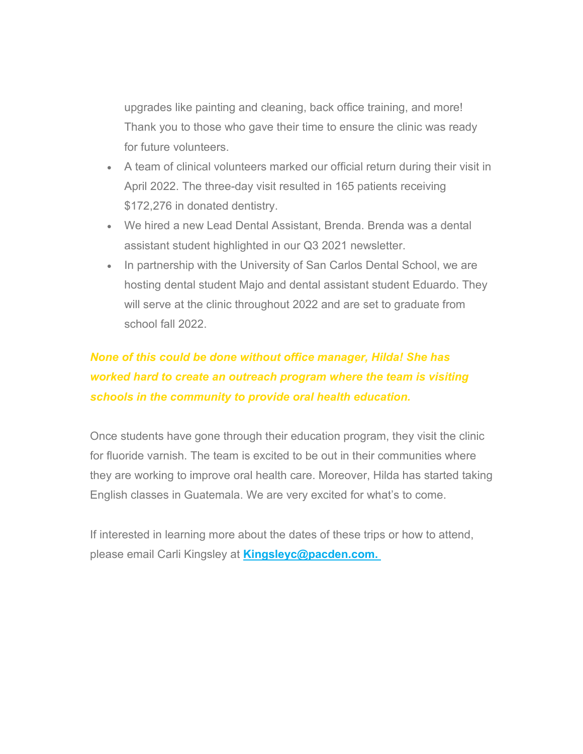upgrades like painting and cleaning, back office training, and more! Thank you to those who gave their time to ensure the clinic was ready for future volunteers.

- A team of clinical volunteers marked our official return during their visit in April 2022. The three-day visit resulted in 165 patients receiving \$172,276 in donated dentistry.
- We hired a new Lead Dental Assistant, Brenda. Brenda was a dental assistant student highlighted in our Q3 2021 newsletter.
- In partnership with the University of San Carlos Dental School, we are hosting dental student Majo and dental assistant student Eduardo. They will serve at the clinic throughout 2022 and are set to graduate from school fall 2022.

## *None of this could be done without office manager, Hilda! She has worked hard to create an outreach program where the team is visiting schools in the community to provide oral health education.*

Once students have gone through their education program, they visit the clinic for fluoride varnish. The team is excited to be out in their communities where they are working to improve oral health care. Moreover, Hilda has started taking English classes in Guatemala. We are very excited for what's to come.

If interested in learning more about the dates of these trips or how to attend, please email Carli Kingsley at **[Kingsleyc@pacden.com.](mailto:kingsleyc@pacden.com)**